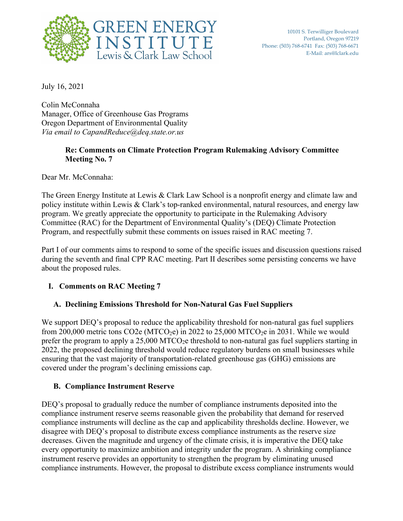

July 16, 2021

Colin McConnaha Manager, Office of Greenhouse Gas Programs Oregon Department of Environmental Quality *Via email to CapandReduce@deq.state.or.us* 

### **Re: Comments on Climate Protection Program Rulemaking Advisory Committee Meeting No. 7**

Dear Mr. McConnaha:

The Green Energy Institute at Lewis & Clark Law School is a nonprofit energy and climate law and policy institute within Lewis & Clark's top-ranked environmental, natural resources, and energy law program. We greatly appreciate the opportunity to participate in the Rulemaking Advisory Committee (RAC) for the Department of Environmental Quality's (DEQ) Climate Protection Program, and respectfully submit these comments on issues raised in RAC meeting 7.

Part I of our comments aims to respond to some of the specific issues and discussion questions raised during the seventh and final CPP RAC meeting. Part II describes some persisting concerns we have about the proposed rules.

## **I. Comments on RAC Meeting 7**

## **A. Declining Emissions Threshold for Non-Natural Gas Fuel Suppliers**

We support DEQ's proposal to reduce the applicability threshold for non-natural gas fuel suppliers from 200,000 metric tons CO2e (MTCO<sub>2</sub>e) in 2022 to 25,000 MTCO<sub>2</sub>e in 2031. While we would prefer the program to apply a  $25,000$  MTCO<sub>2</sub>e threshold to non-natural gas fuel suppliers starting in 2022, the proposed declining threshold would reduce regulatory burdens on small businesses while ensuring that the vast majority of transportation-related greenhouse gas (GHG) emissions are covered under the program's declining emissions cap.

#### **B. Compliance Instrument Reserve**

DEQ's proposal to gradually reduce the number of compliance instruments deposited into the compliance instrument reserve seems reasonable given the probability that demand for reserved compliance instruments will decline as the cap and applicability thresholds decline. However, we disagree with DEQ's proposal to distribute excess compliance instruments as the reserve size decreases. Given the magnitude and urgency of the climate crisis, it is imperative the DEQ take every opportunity to maximize ambition and integrity under the program. A shrinking compliance instrument reserve provides an opportunity to strengthen the program by eliminating unused compliance instruments. However, the proposal to distribute excess compliance instruments would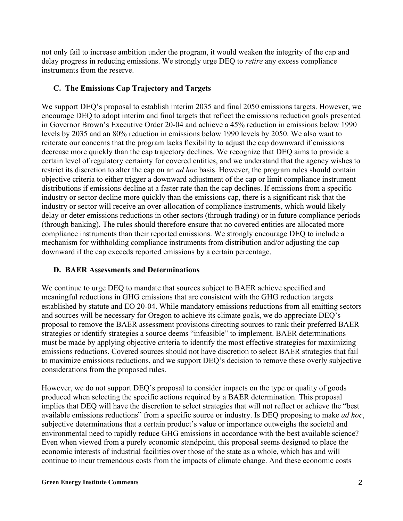not only fail to increase ambition under the program, it would weaken the integrity of the cap and delay progress in reducing emissions. We strongly urge DEQ to *retire* any excess compliance instruments from the reserve.

### **C. The Emissions Cap Trajectory and Targets**

We support DEQ's proposal to establish interim 2035 and final 2050 emissions targets. However, we encourage DEQ to adopt interim and final targets that reflect the emissions reduction goals presented in Governor Brown's Executive Order 20-04 and achieve a 45% reduction in emissions below 1990 levels by 2035 and an 80% reduction in emissions below 1990 levels by 2050. We also want to reiterate our concerns that the program lacks flexibility to adjust the cap downward if emissions decrease more quickly than the cap trajectory declines. We recognize that DEQ aims to provide a certain level of regulatory certainty for covered entities, and we understand that the agency wishes to restrict its discretion to alter the cap on an *ad hoc* basis. However, the program rules should contain objective criteria to either trigger a downward adjustment of the cap or limit compliance instrument distributions if emissions decline at a faster rate than the cap declines. If emissions from a specific industry or sector decline more quickly than the emissions cap, there is a significant risk that the industry or sector will receive an over-allocation of compliance instruments, which would likely delay or deter emissions reductions in other sectors (through trading) or in future compliance periods (through banking). The rules should therefore ensure that no covered entities are allocated more compliance instruments than their reported emissions. We strongly encourage DEQ to include a mechanism for withholding compliance instruments from distribution and/or adjusting the cap downward if the cap exceeds reported emissions by a certain percentage.

## **D. BAER Assessments and Determinations**

We continue to urge DEQ to mandate that sources subject to BAER achieve specified and meaningful reductions in GHG emissions that are consistent with the GHG reduction targets established by statute and EO 20-04. While mandatory emissions reductions from all emitting sectors and sources will be necessary for Oregon to achieve its climate goals, we do appreciate DEQ's proposal to remove the BAER assessment provisions directing sources to rank their preferred BAER strategies or identify strategies a source deems "infeasible" to implement. BAER determinations must be made by applying objective criteria to identify the most effective strategies for maximizing emissions reductions. Covered sources should not have discretion to select BAER strategies that fail to maximize emissions reductions, and we support DEQ's decision to remove these overly subjective considerations from the proposed rules.

However, we do not support DEQ's proposal to consider impacts on the type or quality of goods produced when selecting the specific actions required by a BAER determination. This proposal implies that DEQ will have the discretion to select strategies that will not reflect or achieve the "best available emissions reductions" from a specific source or industry. Is DEQ proposing to make *ad hoc*, subjective determinations that a certain product's value or importance outweighs the societal and environmental need to rapidly reduce GHG emissions in accordance with the best available science? Even when viewed from a purely economic standpoint, this proposal seems designed to place the economic interests of industrial facilities over those of the state as a whole, which has and will continue to incur tremendous costs from the impacts of climate change. And these economic costs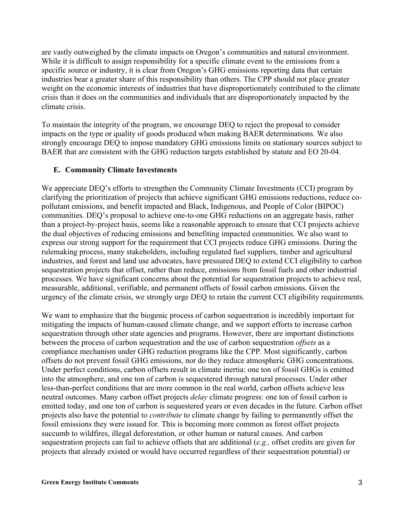are vastly outweighed by the climate impacts on Oregon's communities and natural environment. While it is difficult to assign responsibility for a specific climate event to the emissions from a specific source or industry, it is clear from Oregon's GHG emissions reporting data that certain industries bear a greater share of this responsibility than others. The CPP should not place greater weight on the economic interests of industries that have disproportionately contributed to the climate crisis than it does on the communities and individuals that are disproportionately impacted by the climate crisis.

To maintain the integrity of the program, we encourage DEQ to reject the proposal to consider impacts on the type or quality of goods produced when making BAER determinations. We also strongly encourage DEQ to impose mandatory GHG emissions limits on stationary sources subject to BAER that are consistent with the GHG reduction targets established by statute and EO 20-04.

#### **E. Community Climate Investments**

We appreciate DEQ's efforts to strengthen the Community Climate Investments (CCI) program by clarifying the prioritization of projects that achieve significant GHG emissions reductions, reduce copollutant emissions, and benefit impacted and Black, Indigenous, and People of Color (BIPOC) communities. DEQ's proposal to achieve one-to-one GHG reductions on an aggregate basis, rather than a project-by-project basis, seems like a reasonable approach to ensure that CCI projects achieve the dual objectives of reducing emissions and benefiting impacted communities. We also want to express our strong support for the requirement that CCI projects reduce GHG emissions. During the rulemaking process, many stakeholders, including regulated fuel suppliers, timber and agricultural industries, and forest and land use advocates, have pressured DEQ to extend CCI eligibility to carbon sequestration projects that offset, rather than reduce, emissions from fossil fuels and other industrial processes. We have significant concerns about the potential for sequestration projects to achieve real, measurable, additional, verifiable, and permanent offsets of fossil carbon emissions. Given the urgency of the climate crisis, we strongly urge DEQ to retain the current CCI eligibility requirements.

We want to emphasize that the biogenic process of carbon sequestration is incredibly important for mitigating the impacts of human-caused climate change, and we support efforts to increase carbon sequestration through other state agencies and programs. However, there are important distinctions between the process of carbon sequestration and the use of carbon sequestration *offsets* as a compliance mechanism under GHG reduction programs like the CPP. Most significantly, carbon offsets do not prevent fossil GHG emissions, nor do they reduce atmospheric GHG concentrations. Under perfect conditions, carbon offsets result in climate inertia: one ton of fossil GHGs is emitted into the atmosphere, and one ton of carbon is sequestered through natural processes. Under other less-than-perfect conditions that are more common in the real world, carbon offsets achieve less neutral outcomes. Many carbon offset projects *delay* climate progress: one ton of fossil carbon is emitted today, and one ton of carbon is sequestered years or even decades in the future. Carbon offset projects also have the potential to *contribute* to climate change by failing to permanently offset the fossil emissions they were issued for. This is becoming more common as forest offset projects succumb to wildfires, illegal deforestation, or other human or natural causes. And carbon sequestration projects can fail to achieve offsets that are additional (*e.g.,* offset credits are given for projects that already existed or would have occurred regardless of their sequestration potential) or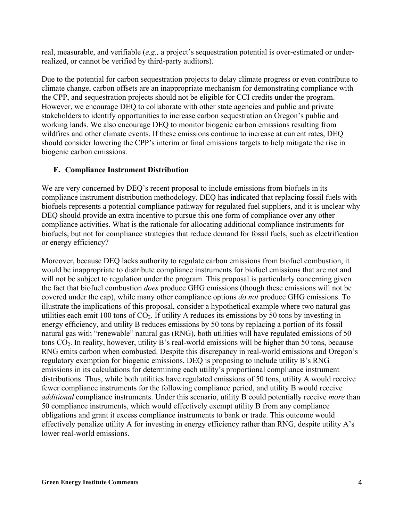real, measurable, and verifiable (*e.g.,* a project's sequestration potential is over-estimated or underrealized, or cannot be verified by third-party auditors).

Due to the potential for carbon sequestration projects to delay climate progress or even contribute to climate change, carbon offsets are an inappropriate mechanism for demonstrating compliance with the CPP, and sequestration projects should not be eligible for CCI credits under the program. However, we encourage DEQ to collaborate with other state agencies and public and private stakeholders to identify opportunities to increase carbon sequestration on Oregon's public and working lands. We also encourage DEQ to monitor biogenic carbon emissions resulting from wildfires and other climate events. If these emissions continue to increase at current rates, DEQ should consider lowering the CPP's interim or final emissions targets to help mitigate the rise in biogenic carbon emissions.

## **F. Compliance Instrument Distribution**

We are very concerned by DEQ's recent proposal to include emissions from biofuels in its compliance instrument distribution methodology. DEQ has indicated that replacing fossil fuels with biofuels represents a potential compliance pathway for regulated fuel suppliers, and it is unclear why DEQ should provide an extra incentive to pursue this one form of compliance over any other compliance activities. What is the rationale for allocating additional compliance instruments for biofuels, but not for compliance strategies that reduce demand for fossil fuels, such as electrification or energy efficiency?

Moreover, because DEQ lacks authority to regulate carbon emissions from biofuel combustion, it would be inappropriate to distribute compliance instruments for biofuel emissions that are not and will not be subject to regulation under the program. This proposal is particularly concerning given the fact that biofuel combustion *does* produce GHG emissions (though these emissions will not be covered under the cap), while many other compliance options *do not* produce GHG emissions. To illustrate the implications of this proposal, consider a hypothetical example where two natural gas utilities each emit 100 tons of  $CO<sub>2</sub>$ . If utility A reduces its emissions by 50 tons by investing in energy efficiency, and utility B reduces emissions by 50 tons by replacing a portion of its fossil natural gas with "renewable" natural gas (RNG), both utilities will have regulated emissions of 50 tons CO2. In reality, however, utility B's real-world emissions will be higher than 50 tons, because RNG emits carbon when combusted. Despite this discrepancy in real-world emissions and Oregon's regulatory exemption for biogenic emissions, DEQ is proposing to include utility B's RNG emissions in its calculations for determining each utility's proportional compliance instrument distributions. Thus, while both utilities have regulated emissions of 50 tons, utility A would receive fewer compliance instruments for the following compliance period, and utility B would receive *additional* compliance instruments. Under this scenario, utility B could potentially receive *more* than 50 compliance instruments, which would effectively exempt utility B from any compliance obligations and grant it excess compliance instruments to bank or trade. This outcome would effectively penalize utility A for investing in energy efficiency rather than RNG, despite utility A's lower real-world emissions.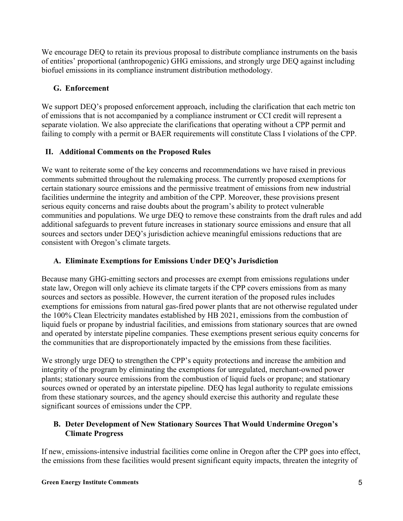We encourage DEQ to retain its previous proposal to distribute compliance instruments on the basis of entities' proportional (anthropogenic) GHG emissions, and strongly urge DEQ against including biofuel emissions in its compliance instrument distribution methodology.

## **G. Enforcement**

We support DEQ's proposed enforcement approach, including the clarification that each metric ton of emissions that is not accompanied by a compliance instrument or CCI credit will represent a separate violation. We also appreciate the clarifications that operating without a CPP permit and failing to comply with a permit or BAER requirements will constitute Class I violations of the CPP.

# **II. Additional Comments on the Proposed Rules**

We want to reiterate some of the key concerns and recommendations we have raised in previous comments submitted throughout the rulemaking process. The currently proposed exemptions for certain stationary source emissions and the permissive treatment of emissions from new industrial facilities undermine the integrity and ambition of the CPP. Moreover, these provisions present serious equity concerns and raise doubts about the program's ability to protect vulnerable communities and populations. We urge DEQ to remove these constraints from the draft rules and add additional safeguards to prevent future increases in stationary source emissions and ensure that all sources and sectors under DEQ's jurisdiction achieve meaningful emissions reductions that are consistent with Oregon's climate targets.

## **A. Eliminate Exemptions for Emissions Under DEQ's Jurisdiction**

Because many GHG-emitting sectors and processes are exempt from emissions regulations under state law, Oregon will only achieve its climate targets if the CPP covers emissions from as many sources and sectors as possible. However, the current iteration of the proposed rules includes exemptions for emissions from natural gas-fired power plants that are not otherwise regulated under the 100% Clean Electricity mandates established by HB 2021, emissions from the combustion of liquid fuels or propane by industrial facilities, and emissions from stationary sources that are owned and operated by interstate pipeline companies. These exemptions present serious equity concerns for the communities that are disproportionately impacted by the emissions from these facilities.

We strongly urge DEQ to strengthen the CPP's equity protections and increase the ambition and integrity of the program by eliminating the exemptions for unregulated, merchant-owned power plants; stationary source emissions from the combustion of liquid fuels or propane; and stationary sources owned or operated by an interstate pipeline. DEQ has legal authority to regulate emissions from these stationary sources, and the agency should exercise this authority and regulate these significant sources of emissions under the CPP.

## **B. Deter Development of New Stationary Sources That Would Undermine Oregon's Climate Progress**

If new, emissions-intensive industrial facilities come online in Oregon after the CPP goes into effect, the emissions from these facilities would present significant equity impacts, threaten the integrity of